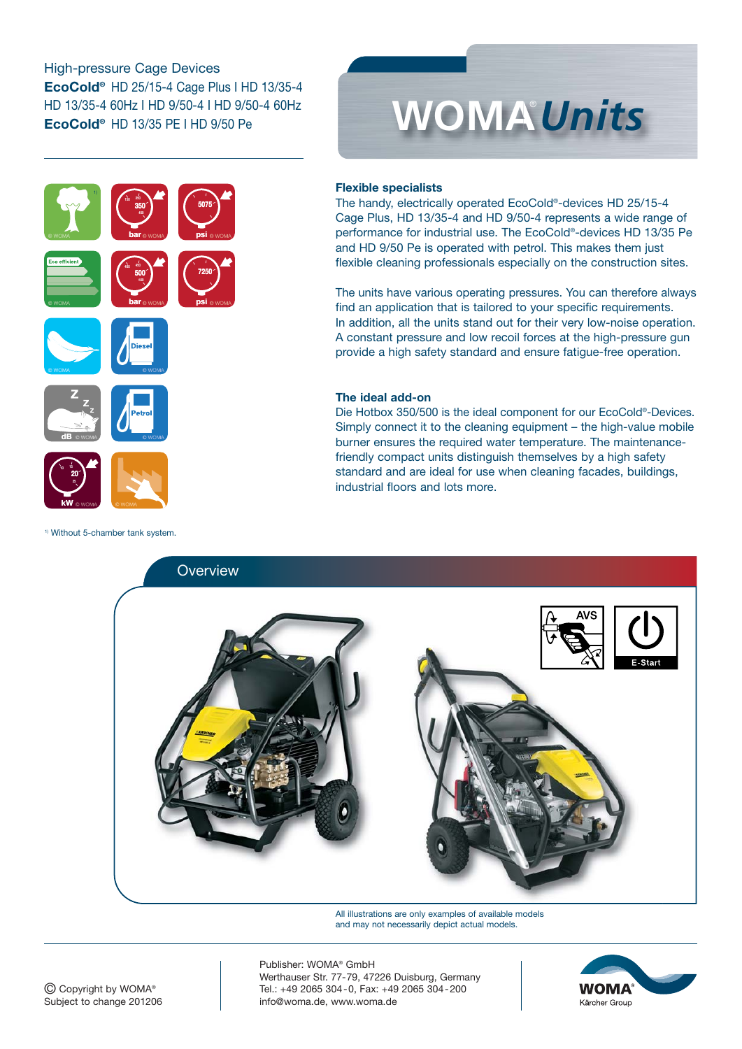### High-pressure Cage Devices **EcoCold®** HD 25/15-4 Cage Plus I HD 13/35-4 HD 13/35-4 60Hz I HD 9/50-4 I HD 9/50-4 60Hz **EcoCold®** HD 13/35 PE I HD 9/50 Pe

**b**<br> **a**<br> **a**<br> **b**<br> **d**<br> **d**<br> **d** 

**5075**

**psi**

**7250**

**bar**

400 450 **500 5**

**bar**

150 250 **350** 450 **3**



# **Flexible specialists**

The handy, electrically operated EcoCold®-devices HD 25/15-4 Cage Plus, HD 13/35-4 and HD 9/50-4 represents a wide range of performance for industrial use. The EcoCold®-devices HD 13/35 Pe and HD 9/50 Pe is operated with petrol. This makes them just flexible cleaning professionals especially on the construction sites.

The units have various operating pressures. You can therefore always find an application that is tailored to your specific requirements. In addition, all the units stand out for their very low-noise operation. A constant pressure and low recoil forces at the high-pressure gun provide a high safety standard and ensure fatigue-free operation.

#### **The ideal add-on**

Die Hotbox 350/500 is the ideal component for our EcoCold®-Devices. Simply connect it to the cleaning equipment – the high-value mobile burner ensures the required water temperature. The maintenancefriendly compact units distinguish themselves by a high safety standard and are ideal for use when cleaning facades, buildings, industrial floors and lots more.



All illustrations are only examples of available models and may not necessarily depict actual models.



© Copyright by WOMA® Subject to change 201206

Publisher: WOMA® GmbH Werthauser Str. 77-79, 47226 Duisburg, Germany Tel.: +49 2065 304-0, Fax: +49 2065 304-200 info@woma.de, www.woma.de



1) Without 5-chamber tank system.

**dB**

**kW**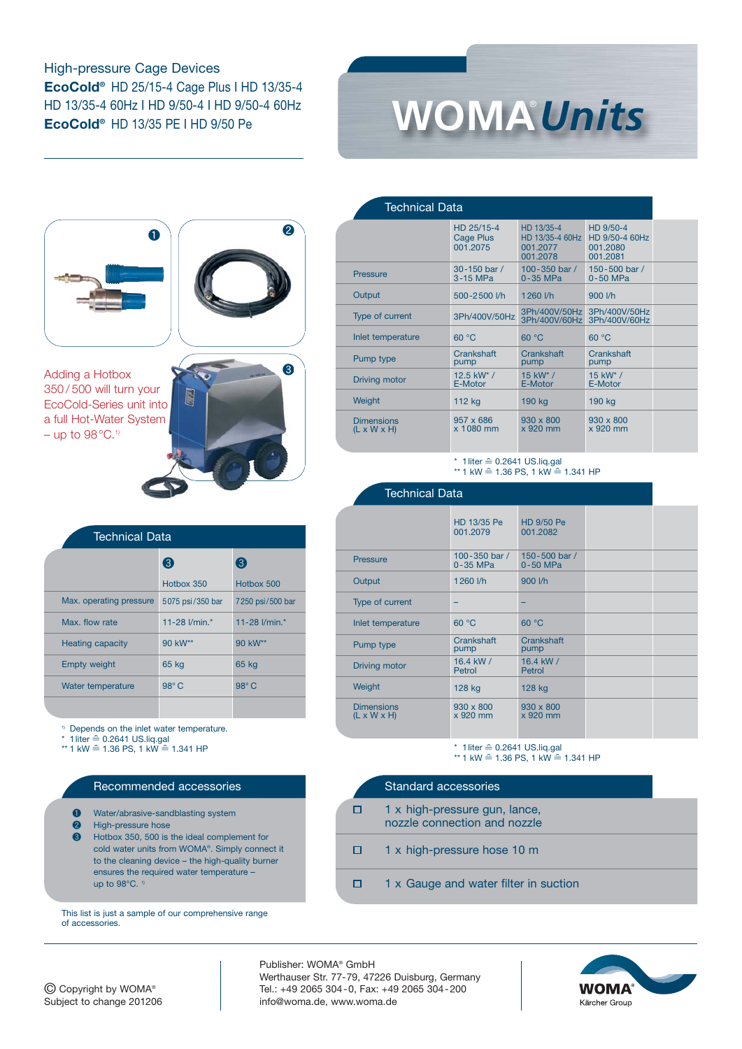High-pressure Cage Devices **EcoCold®** HD 25/15-4 Cage Plus I HD 13/35-4 HD 13/35-4 60Hz I HD 9/50-4 I HD 9/50-4 60Hz **EcoCold®** HD 13/35 PE I HD 9/50 Pe





Adding a Hotbox 350 / 500 will turn your EcoCold-Series unit into a full Hot-Water System – up to  $98^{\circ}$ C.<sup>1)</sup>



|                         | <b>Technical Data</b> |                  |  |  |
|-------------------------|-----------------------|------------------|--|--|
|                         | (3)                   | (3)              |  |  |
|                         | Hothox 350            | Hotbox 500       |  |  |
| Max. operating pressure | 5075 psi/350 bar      | 7250 psi/500 bar |  |  |
| Max flow rate           | 11-28 l/min *         | 11-28 l/min *    |  |  |
| <b>Heating capacity</b> | 90 kW**               | 90 kW**          |  |  |
| <b>Empty weight</b>     | 65 kg                 | 65 kg            |  |  |
| Water temperature       | $98^\circ C$          | $98^\circ C$     |  |  |
|                         |                       |                  |  |  |

Depends on the inlet water temperature.

 $*$  Depends on the fillet water temperature<br> $*$  1 liter ≙ 0.2641 US.liq.gal<br> $*$ \* 1 kW ≙ 1.36 PS, 1 kW ≙ 1.341 HP

#### Recommended accessories

- ❶ Water/abrasive-sandblasting system
- ❷ High-pressure hose
- ❸ Hotbox 350, 500 is the ideal complement for cold water units from WOMA®. Simply connect it to the cleaning device – the high-quality burner ensures the required water temperature – up to  $98^{\circ}$ C. <sup>1)</sup>

This list is just a sample of our comprehensive range of accessories.

| Technical Data                               |                                     |                                                       |                                                     |  |
|----------------------------------------------|-------------------------------------|-------------------------------------------------------|-----------------------------------------------------|--|
|                                              | HD 25/15-4<br>Cage Plus<br>001.2075 | HD 13/35-4<br>HD 13/35-4 60Hz<br>001.2077<br>001.2078 | HD 9/50-4<br>HD 9/50-4 60Hz<br>001.2080<br>001.2081 |  |
| <b>Pressure</b>                              | 30-150 bar /<br>3-15 MPa            | 100 - 350 bar $/$<br>$0-35$ MPa                       | 150-500 bar /<br>0-50 MPa                           |  |
| Output                                       | 500-2500 l/h                        | 1260 l/h                                              | 900 l/h                                             |  |
| Type of current                              | 3Ph/400V/50Hz                       | 3Ph/400V/60Hz                                         | 3Ph/400V/50Hz 3Ph/400V/50Hz<br>3Ph/400V/60Hz        |  |
| Inlet temperature                            | 60 °C                               | 60 °C                                                 | 60 °C                                               |  |
| Pump type                                    | Crankshaft<br>pump                  | Crankshaft<br>pump                                    | Crankshaft<br>pump                                  |  |
| Driving motor                                | 12.5 kW*/<br>E-Motor                | $15$ kW* /<br>E-Motor                                 | $15$ kW* /<br>E-Motor                               |  |
| <b>Weight</b>                                | 112 kg                              | 190 kg                                                | 190 kg                                              |  |
| <b>Dimensions</b><br>$(L \times W \times H)$ | $957 \times 686$<br>x 1080 mm       | $930 \times 800$<br>x 920 mm                          | $930 \times 800$<br>x 920 mm                        |  |
|                                              |                                     |                                                       |                                                     |  |

\* 1liter ≙ 0.2641 US.liq.gal  $*$  1 liter = 0.204 i 00.000 literature 1.341 HP

| <b>Technical Data</b>                        |                           |                              |  |  |
|----------------------------------------------|---------------------------|------------------------------|--|--|
|                                              | HD 13/35 Pe<br>001.2079   | HD 9/50 Pe<br>001.2082       |  |  |
| <b>Pressure</b>                              | 100-350 bar /<br>0-35 MPa | 150-500 bar /<br>0-50 MPa    |  |  |
| Output                                       | 1260 l/h                  | 900 l/h                      |  |  |
| Type of current                              |                           |                              |  |  |
| Inlet temperature                            | 60 °C                     | 60 °C                        |  |  |
| Pump type                                    | Crankshaft<br>pump        | Crankshaft<br>pump           |  |  |
| Driving motor                                | 16.4 kW /<br>Petrol       | 16.4 kW /<br>Petrol          |  |  |
| Weight                                       | 128 kg                    | 128 kg                       |  |  |
| <b>Dimensions</b><br>$(L \times W \times H)$ | 930 x 800<br>x 920 mm     | $930 \times 800$<br>x 920 mm |  |  |

\* 1liter ≙ 0.2641 US.liq.gal  $*$  1 kW  $\cong$  1.36 PS, 1 kW  $\cong$  1.341 HP

|   | Standard accessories                                          |
|---|---------------------------------------------------------------|
|   | 1 x high-pressure gun, lance,<br>nozzle connection and nozzle |
| О | 1 x high-pressure hose 10 m                                   |
|   | 1 x Gauge and water filter in suction                         |

© Copyright by WOMA® Subject to change 201206

Publisher: WOMA® GmbH Werthauser Str. 77-79, 47226 Duisburg, Germany Tel.: +49 2065 304-0, Fax: +49 2065 304-200 info@woma.de, www.woma.de